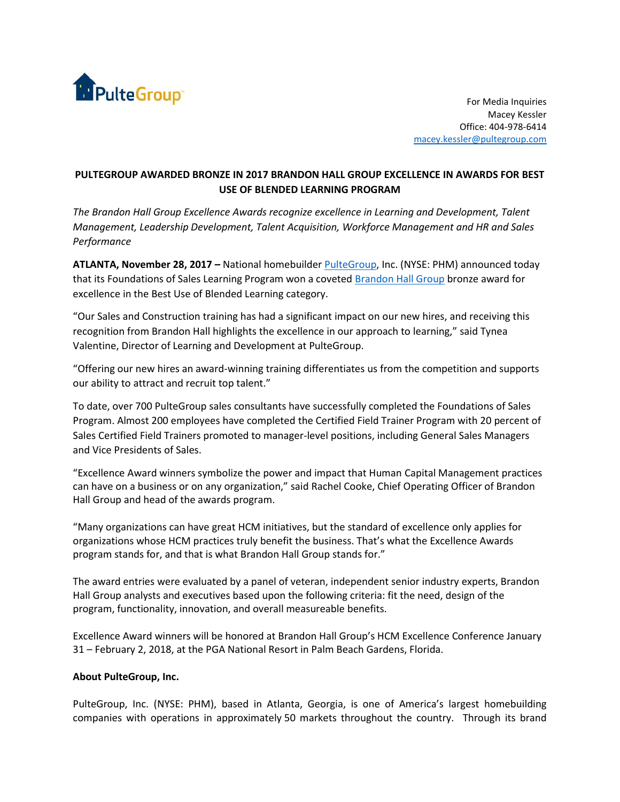

For Media Inquiries Macey Kessler Office: 404-978-6414 [macey.kessler@pultegroup.com](mailto:macey.kessler@pultegroup.com)

## **PULTEGROUP AWARDED BRONZE IN 2017 BRANDON HALL GROUP EXCELLENCE IN AWARDS FOR BEST USE OF BLENDED LEARNING PROGRAM**

*The Brandon Hall Group Excellence Awards recognize excellence in Learning and Development, Talent Management, Leadership Development, Talent Acquisition, Workforce Management and HR and Sales Performance*

**ATLANTA, November 28, 2017 –** National homebuilde[r PulteGroup,](file:///C:/Users/vdolenga/AppData/Local/Microsoft/Windows/Temporary%20Internet%20Files/Content.Outlook/BBOGI7VD/newsroom.pultegroup.com) Inc. (NYSE: PHM) announced today that its Foundations of Sales Learning Program won a covete[d Brandon Hall Group](http://www.brandonhall.com/excellenceawards/) bronze award for excellence in the Best Use of Blended Learning category.

"Our Sales and Construction training has had a significant impact on our new hires, and receiving this recognition from Brandon Hall highlights the excellence in our approach to learning," said Tynea Valentine, Director of Learning and Development at PulteGroup.

"Offering our new hires an award-winning training differentiates us from the competition and supports our ability to attract and recruit top talent."

To date, over 700 PulteGroup sales consultants have successfully completed the Foundations of Sales Program. Almost 200 employees have completed the Certified Field Trainer Program with 20 percent of Sales Certified Field Trainers promoted to manager-level positions, including General Sales Managers and Vice Presidents of Sales.

"Excellence Award winners symbolize the power and impact that Human Capital Management practices can have on a business or on any organization," said Rachel Cooke, Chief Operating Officer of Brandon Hall Group and head of the awards program.

"Many organizations can have great HCM initiatives, but the standard of excellence only applies for organizations whose HCM practices truly benefit the business. That's what the Excellence Awards program stands for, and that is what Brandon Hall Group stands for."

The award entries were evaluated by a panel of veteran, independent senior industry experts, Brandon Hall Group analysts and executives based upon the following criteria: fit the need, design of the program, functionality, innovation, and overall measureable benefits.

Excellence Award winners will be honored at Brandon Hall Group's HCM Excellence Conference January 31 – February 2, 2018, at the PGA National Resort in Palm Beach Gardens, Florida.

## **About PulteGroup, Inc.**

PulteGroup, Inc. (NYSE: PHM), based in Atlanta, Georgia, is one of America's largest homebuilding companies with operations in approximately 50 markets throughout the country. Through its brand